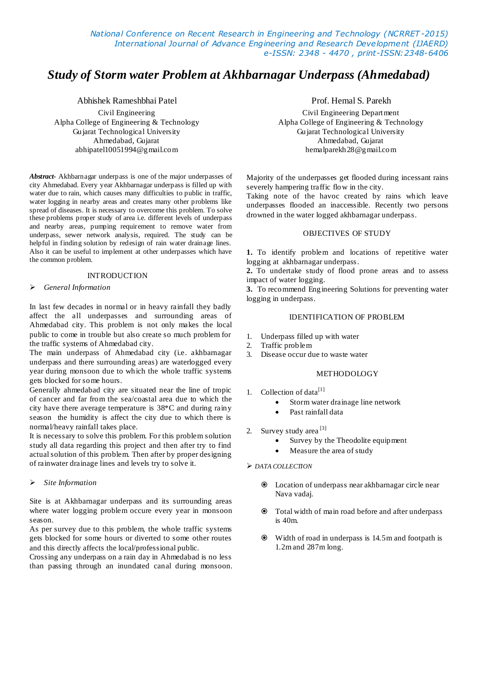*National Conference on Recent Research in Engineering and Technology (NCRRET -2015) International Journal of Advance Engineering and Research Development (IJAERD) e-ISSN: 2348 - 4470 , print-ISSN:2348-6406*

# *Study of Storm water Problem at Akhbarnagar Underpass (Ahmedabad)*

Abhishek Rameshbhai Patel

Civil Engineering Alpha College of Engineering & Technology Gujarat Technological University Ahmedabad, Gujarat abhipatel10051994@gmail.com

*Abstract-* Akhbarnagar underpass is one of the major underpasses of city Ahmedabad. Every year Akhbarnagar underpass is filled up with water due to rain, which causes many difficulties to public in traffic, water logging in nearby areas and creates many other problems like spread of diseases. It is necessary to overcome this problem. To solve these problems proper study of area i.e. different levels of underpass and nearby areas, pumping requirement to remove water from underpass, sewer network analysis, required. The study can be helpful in finding solution by redesign of rain water drainage lines. Also it can be useful to implement at other underpasses which have the common problem.

#### INTRODUCTION

#### *General Information*

In last few decades in normal or in heavy rainfall they badly affect the all underpasses and surrounding areas of Ahmedabad city. This problem is not only makes the local public to come in trouble but also create so much problem for the traffic systems of Ahmedabad city.

The main underpass of Ahmedabad city (i.e. akhbarnagar underpass and there surrounding areas) are waterlogged every year during monsoon due to which the whole traffic systems gets blocked for some hours.

Generally ahmedabad city are situated near the line of tropic of cancer and far from the sea/coastal area due to which the city have there average temperature is 38\*C and during rainy season the humidity is affect the city due to which there is normal/heavy rainfall takes place.

It is necessary to solve this problem. For this problem solution study all data regarding this project and then after try to find actual solution of this problem. Then after by proper designing of rainwater drainage lines and levels try to solve it.

#### *Site Information*

Site is at Akhbarnagar underpass and its surrounding areas where water logging problem occure every year in monsoon season.

As per survey due to this problem, the whole traffic systems gets blocked for some hours or diverted to some other routes and this directly affects the local/professional public.

Crossing any underpass on a rain day in Ahmedabad is no less than passing through an inundated canal during monsoon. Prof. Hemal S. Parekh

Civil Engineering Department Alpha College of Engineering & Technology Gujarat Technological University Ahmedabad, Gujarat hemalparekh28@gmail.com

Majority of the underpasses get flooded during incessant rains severely hampering traffic flow in the city.

Taking note of the havoc created by rains which leave underpasses flooded an inaccessible. Recently two persons drowned in the water logged akhbarnagar underpass.

# OBJECTIVES OF STUDY

**1.** To identify problem and locations of repetitive water logging at akhbarnagar underpass.

**2.** To undertake study of flood prone areas and to assess impact of water logging.

**3.** To recommend Engineering Solutions for preventing water logging in underpass.

## IDENTIFICATION OF PROBLEM

- 1. Underpass filled up with water
- 2. Traffic problem
- 3. Disease occur due to waste water

#### METHODOLOGY

- 1. Collection of data $^{[1]}$ 
	- Storm water drainage line network
	- Past rainfall data
- 2. Survey study area<sup>[3]</sup>
	- Survey by the Theodolite equipment
	- Measure the area of study

#### *DATA COLLECTION*

- Location of underpass near akhbarnagar circle near Nava vadaj.
- Total width of main road before and after underpass is 40m.
- Width of road in underpass is 14.5m and footpath is 1.2m and 287m long.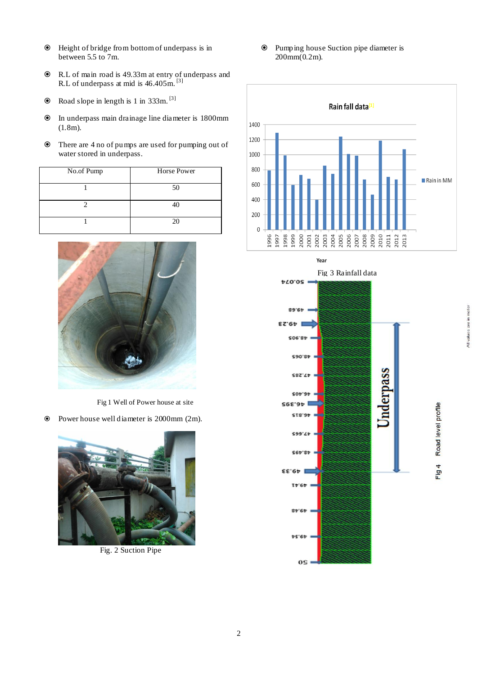- Height of bridge from bottom of underpass is in between 5.5 to 7m.
- R.L of main road is 49.33m at entry of underpass and R.L of underpass at mid is  $46.405$ m.<sup>[3]</sup>
- $\odot$  Road slope in length is 1 in 333m. <sup>[3]</sup>
- In underpass main drainage line diameter is 1800mm (1.8m).
- There are 4 no of pumps are used for pumping out of water stored in underpass.

| No.of Pump | <b>Horse Power</b> |
|------------|--------------------|
|            | 50                 |
|            | 40                 |
|            | 20                 |



Fig 1 Well of Power house at site

Power house well diameter is 2000mm (2m).



Fig. 2 Suction Pipe

2

 Pumping house Suction pipe diameter is  $200mm(0.2m)$ .



Year



Road level profile

Fig 4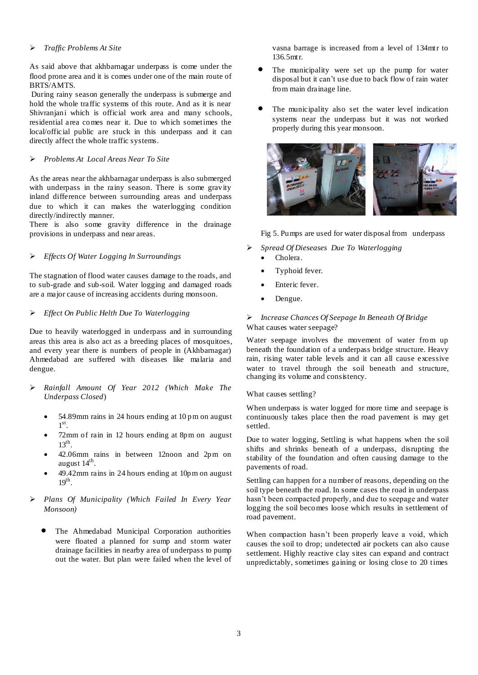## *Traffic Problems At Site*

As said above that akhbarnagar underpass is come under the flood prone area and it is comes under one of the main route of BRTS/AMTS.

During rainy season generally the underpass is submerge and hold the whole traffic systems of this route. And as it is near Shivranjani which is official work area and many schools, residential area comes near it. Due to which sometimes the local/official public are stuck in this underpass and it can directly affect the whole traffic systems.

# *Problems At Local Areas Near To Site*

As the areas near the akhbarnagar underpass is also submerged with underpass in the rainy season. There is some gravity inland difference between surrounding areas and underpass due to which it can makes the waterlogging condition directly/indirectly manner.

There is also some gravity difference in the drainage provisions in underpass and near areas.

# *Effects Of Water Logging In Surroundings*

The stagnation of flood water causes damage to the roads, and to sub-grade and sub-soil. Water logging and damaged roads are a major cause of increasing accidents during monsoon.

## *Effect On Public Helth Due To Waterlogging*

Due to heavily waterlogged in underpass and in surrounding areas this area is also act as a breeding places of mosquitoes, and every year there is numbers of people in (Akhbarnagar) Ahmedabad are suffered with diseases like malaria and dengue.

- *Rainfall Amount Of Year 2012 (Which Make The Underpass Closed*)
	- 54.89mm rains in 24 hours ending at 10 pm on august  $1<sup>st</sup>$ .
	- 72mm of rain in 12 hours ending at 8pm on august  $13<sup>th</sup>$ .
	- 42.06mm rains in between 12noon and 2pm on august 14<sup>th</sup>.
	- 49.42mm rains in 24 hours ending at 10pm on august  $19<sup>th</sup>$ .

# *Plans Of Municipality (Which Failed In Every Year Monsoon)*

 The Ahmedabad Municipal Corporation authorities were floated a planned for sump and storm water drainage facilities in nearby area of underpass to pump out the water. But plan were failed when the level of vasna barrage is increased from a level of 134mtr to 136.5mtr.

- The municipality were set up the pump for water disposal but it can't use due to back flow of rain water from main drainage line.
- The municipality also set the water level indication systems near the underpass but it was not worked properly during this year monsoon.



Fig 5. Pumps are used for water disposal from underpass

- *Spread Of Dieseases Due To Waterlogging*
	- Cholera.
	- Typhoid fever.
	- Enteric fever.
	- Dengue.

# *Increase Chances Of Seepage In Beneath Of Bridge* What causes water seepage?

Water seepage involves the movement of water from up beneath the foundation of a underpass bridge structure. Heavy rain, rising water table levels and it can all cause excessive water to travel through the soil beneath and structure, changing its volume and consistency.

What causes settling?

When underpass is water logged for more time and seepage is continuously takes place then the road pavement is may get settled.

Due to water logging, Settling is what happens when the soil shifts and shrinks beneath of a underpass, disrupting the stability of the foundation and often causing damage to the pavements of road.

Settling can happen for a number of reasons, depending on the soil type beneath the road. In some cases the road in underpass hasn't been compacted properly, and due to seepage and water logging the soil becomes loose which results in settlement of road pavement.

When compaction hasn't been properly leave a void, which causes the soil to drop; undetected air pockets can also cause settlement. Highly reactive clay sites can expand and contract unpredictably, sometimes gaining or losing close to 20 times